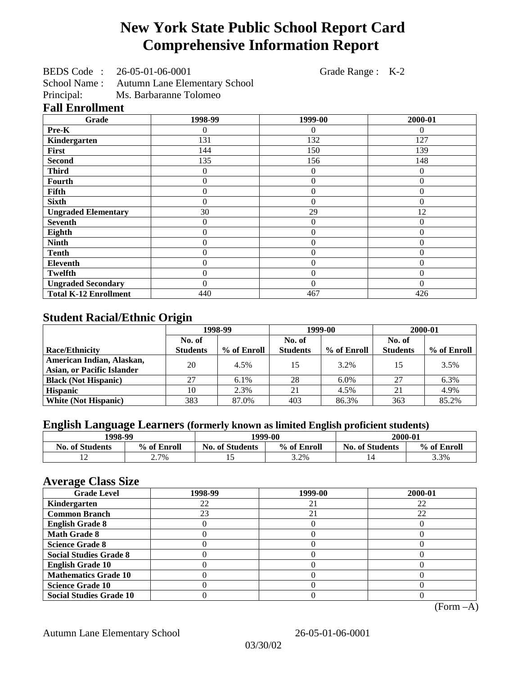# **New York State Public School Report Card Comprehensive Information Report**

BEDS Code : 26-05-01-06-0001 Grade Range : K-2

School Name : Autumn Lane Elementary School

Principal: Ms. Barbaranne Tolomeo

|  | <b>Fall Enrollment</b> |  |
|--|------------------------|--|
|--|------------------------|--|

| Grade                        | 1998-99        | 1999-00        | 2000-01  |
|------------------------------|----------------|----------------|----------|
| Pre-K                        | 0              | 0              | 0        |
| Kindergarten                 | 131            | 132            | 127      |
| First                        | 144            | 150            | 139      |
| <b>Second</b>                | 135            | 156            | 148      |
| <b>Third</b>                 | 0              | $\theta$       | 0        |
| Fourth                       | $\overline{0}$ | $\overline{0}$ | $\theta$ |
| Fifth                        | 0              | $\theta$       | $\Omega$ |
| <b>Sixth</b>                 | 0              | $\theta$       | 0        |
| <b>Ungraded Elementary</b>   | 30             | 29             | 12       |
| <b>Seventh</b>               | 0              | $\theta$       | 0        |
| Eighth                       | $\overline{0}$ | $\theta$       | $\theta$ |
| <b>Ninth</b>                 | 0              | $\overline{0}$ | 0        |
| <b>Tenth</b>                 | $\overline{0}$ | $\overline{0}$ | $\theta$ |
| Eleventh                     | $\overline{0}$ | $\overline{0}$ | $\Omega$ |
| <b>Twelfth</b>               | $\theta$       | $\overline{0}$ | $\Omega$ |
| <b>Ungraded Secondary</b>    | $\theta$       | $\theta$       | $\theta$ |
| <b>Total K-12 Enrollment</b> | 440            | 467            | 426      |

## **Student Racial/Ethnic Origin**

|                                   | 1998-99         |             | 1999-00         |             | 2000-01         |             |
|-----------------------------------|-----------------|-------------|-----------------|-------------|-----------------|-------------|
|                                   | No. of          |             | No. of          |             | No. of          |             |
| <b>Race/Ethnicity</b>             | <b>Students</b> | % of Enroll | <b>Students</b> | % of Enroll | <b>Students</b> | % of Enroll |
| American Indian, Alaskan,         | 20              | 4.5%        | 15              | 3.2%        | 15              | 3.5%        |
| <b>Asian, or Pacific Islander</b> |                 |             |                 |             |                 |             |
| <b>Black (Not Hispanic)</b>       | 27              | 6.1%        | 28              | 6.0%        | 27              | 6.3%        |
| <b>Hispanic</b>                   | 10              | 2.3%        | 21              | 4.5%        | 21              | 4.9%        |
| <b>White (Not Hispanic)</b>       | 383             | 87.0%       | 403             | 86.3%       | 363             | 85.2%       |

## **English Language Learners (formerly known as limited English proficient students)**

| 1998-99                |             | 1999-00                |             | 2000-01                |             |
|------------------------|-------------|------------------------|-------------|------------------------|-------------|
| <b>No. of Students</b> | % of Enroll | <b>No. of Students</b> | % of Enroll | <b>No. of Students</b> | % of Enroll |
|                        | $2.7\%$     |                        | 3.2%        |                        | 3.3%        |

#### **Average Class Size**

| <b>Grade Level</b>             | 1998-99 | 1999-00 | 2000-01 |
|--------------------------------|---------|---------|---------|
| Kindergarten                   | 22      | 21      | 22      |
| <b>Common Branch</b>           | 23      | 21      | 22      |
| <b>English Grade 8</b>         |         |         |         |
| <b>Math Grade 8</b>            |         |         |         |
| <b>Science Grade 8</b>         |         |         |         |
| <b>Social Studies Grade 8</b>  |         |         |         |
| <b>English Grade 10</b>        |         |         |         |
| <b>Mathematics Grade 10</b>    |         |         |         |
| <b>Science Grade 10</b>        |         |         |         |
| <b>Social Studies Grade 10</b> |         |         |         |

(Form –A)